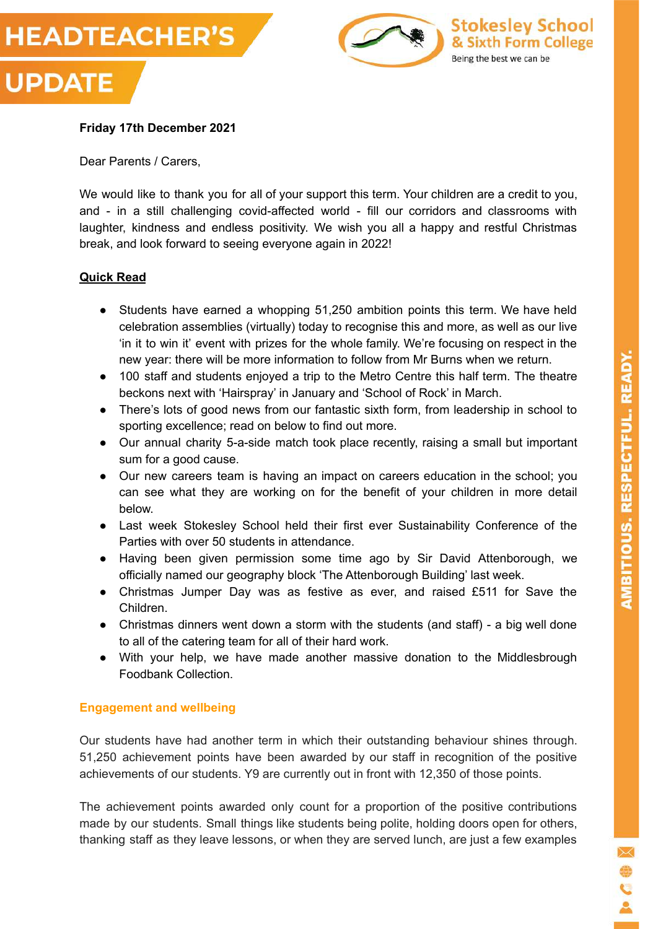



## **Friday 17th December 2021**

Dear Parents / Carers,

We would like to thank you for all of your support this term. Your children are a credit to you, and - in a still challenging covid-affected world - fill our corridors and classrooms with laughter, kindness and endless positivity. We wish you all a happy and restful Christmas break, and look forward to seeing everyone again in 2022!

#### **Quick Read**

- Students have earned a whopping 51,250 ambition points this term. We have held celebration assemblies (virtually) today to recognise this and more, as well as our live 'in it to win it' event with prizes for the whole family. We're focusing on respect in the new year: there will be more information to follow from Mr Burns when we return.
- 100 staff and students enjoyed a trip to the Metro Centre this half term. The theatre beckons next with 'Hairspray' in January and 'School of Rock' in March.
- There's lots of good news from our fantastic sixth form, from leadership in school to sporting excellence; read on below to find out more.
- Our annual charity 5-a-side match took place recently, raising a small but important sum for a good cause.
- Our new careers team is having an impact on careers education in the school; you can see what they are working on for the benefit of your children in more detail below.
- Last week Stokesley School held their first ever Sustainability Conference of the Parties with over 50 students in attendance.
- Having been given permission some time ago by Sir David Attenborough, we officially named our geography block 'The Attenborough Building' last week.
- Christmas Jumper Day was as festive as ever, and raised £511 for Save the Children.
- Christmas dinners went down a storm with the students (and staff) a big well done to all of the catering team for all of their hard work.
- With your help, we have made another massive donation to the Middlesbrough Foodbank Collection.

#### **Engagement and wellbeing**

Our students have had another term in which their outstanding behaviour shines through. 51,250 achievement points have been awarded by our staff in recognition of the positive achievements of our students. Y9 are currently out in front with 12,350 of those points.

The achievement points awarded only count for a proportion of the positive contributions made by our students. Small things like students being polite, holding doors open for others, thanking staff as they leave lessons, or when they are served lunch, are just a few examples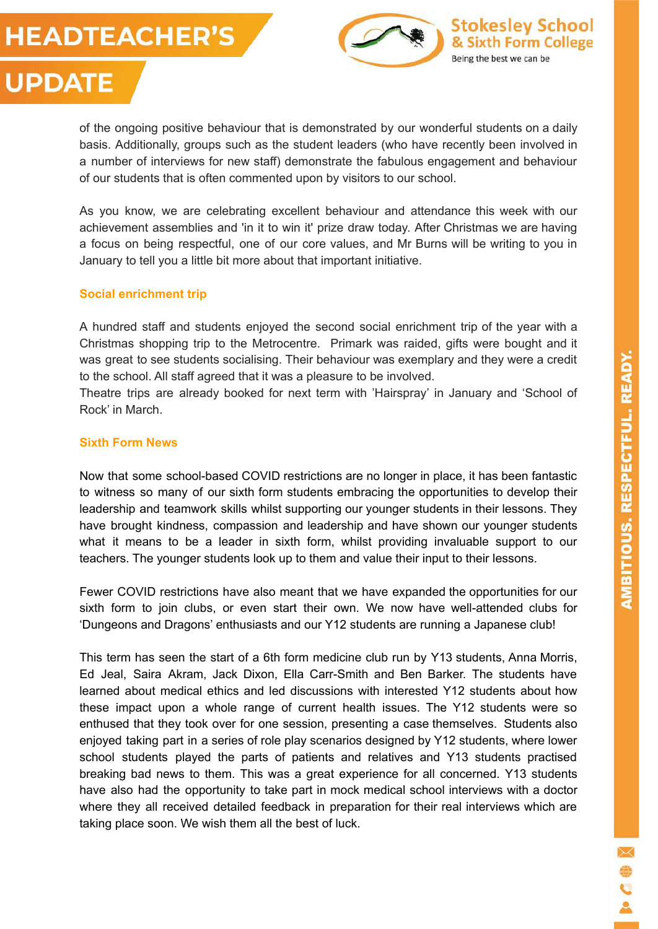# **HEADTEACHER'S UPDATE**





As you know, we are celebrating excellent behaviour and attendance this week with our achievement assemblies and 'in it to win it' prize draw today. After Christmas we are having a focus on being respectful, one of our core values, and Mr Burns will be writing to you in January to tell you a little bit more about that important initiative.

# **Social enrichment trip**

A hundred staff and students enjoyed the second social enrichment trip of the year with a Christmas shopping trip to the Metrocentre. Primark was raided, gifts were bought and it was great to see students socialising. Their behaviour was exemplary and they were a credit to the school. All staff agreed that it was a pleasure to be involved.

Theatre trips are already booked for next term with 'Hairspray' in January and 'School of Rock' in March.

## **Sixth Form News**

Now that some school-based COVID restrictions are no longer in place, it has been fantastic to witness so many of our sixth form students embracing the opportunities to develop their leadership and teamwork skills whilst supporting our younger students in their lessons. They have brought kindness, compassion and leadership and have shown our younger students what it means to be a leader in sixth form, whilst providing invaluable support to our teachers. The younger students look up to them and value their input to their lessons.

Fewer COVID restrictions have also meant that we have expanded the opportunities for our sixth form to join clubs, or even start their own. We now have well-attended clubs for 'Dungeons and Dragons' enthusiasts and our Y12 students are running a Japanese club!

This term has seen the start of a 6th form medicine club run by Y13 students, Anna Morris, Ed Jeal, Saira Akram, Jack Dixon, Ella Carr-Smith and Ben Barker. The students have learned about medical ethics and led discussions with interested Y12 students about how these impact upon a whole range of current health issues. The Y12 students were so enthused that they took over for one session, presenting a case themselves. Students also enjoyed taking part in a series of role play scenarios designed by Y12 students, where lower school students played the parts of patients and relatives and Y13 students practised breaking bad news to them. This was a great experience for all concerned. Y13 students have also had the opportunity to take part in mock medical school interviews with a doctor where they all received detailed feedback in preparation for their real interviews which are taking place soon. We wish them all the best of luck.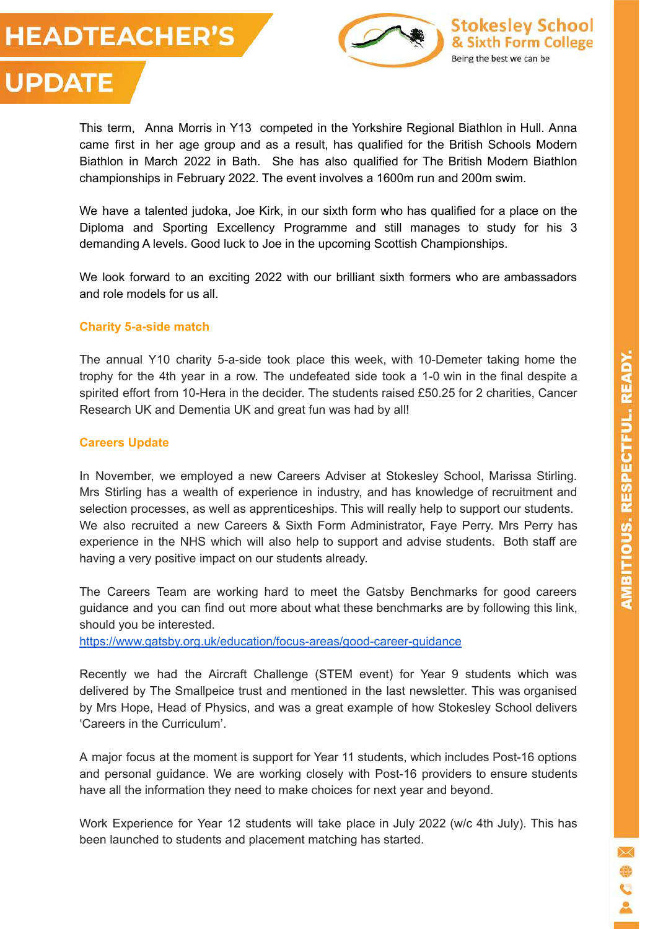



This term, Anna Morris in Y13 competed in the Yorkshire Regional Biathlon in Hull. Anna came first in her age group and as a result, has qualified for the British Schools Modern Biathlon in March 2022 in Bath. She has also qualified for The British Modern Biathlon championships in February 2022. The event involves a 1600m run and 200m swim.

We have a talented judoka, Joe Kirk, in our sixth form who has qualified for a place on the Diploma and Sporting Excellency Programme and still manages to study for his 3 demanding A levels. Good luck to Joe in the upcoming Scottish Championships.

We look forward to an exciting 2022 with our brilliant sixth formers who are ambassadors and role models for us all.

#### **Charity 5-a-side match**

The annual Y10 charity 5-a-side took place this week, with 10-Demeter taking home the trophy for the 4th year in a row. The undefeated side took a 1-0 win in the final despite a spirited effort from 10-Hera in the decider. The students raised £50.25 for 2 charities, Cancer Research UK and Dementia UK and great fun was had by all!

#### **Careers Update**

In November, we employed a new Careers Adviser at Stokesley School, Marissa Stirling. Mrs Stirling has a wealth of experience in industry, and has knowledge of recruitment and selection processes, as well as apprenticeships. This will really help to support our students. We also recruited a new Careers & Sixth Form Administrator, Faye Perry. Mrs Perry has experience in the NHS which will also help to support and advise students. Both staff are having a very positive impact on our students already.

The Careers Team are working hard to meet the Gatsby Benchmarks for good careers guidance and you can find out more about what these benchmarks are by following this link, should you be interested.

<https://www.gatsby.org.uk/education/focus-areas/good-career-guidance>

Recently we had the Aircraft Challenge (STEM event) for Year 9 students which was delivered by The Smallpeice trust and mentioned in the last newsletter. This was organised by Mrs Hope, Head of Physics, and was a great example of how Stokesley School delivers 'Careers in the Curriculum'.

A major focus at the moment is support for Year 11 students, which includes Post-16 options and personal guidance. We are working closely with Post-16 providers to ensure students have all the information they need to make choices for next year and beyond.

Work Experience for Year 12 students will take place in July 2022 (w/c 4th July). This has been launched to students and placement matching has started.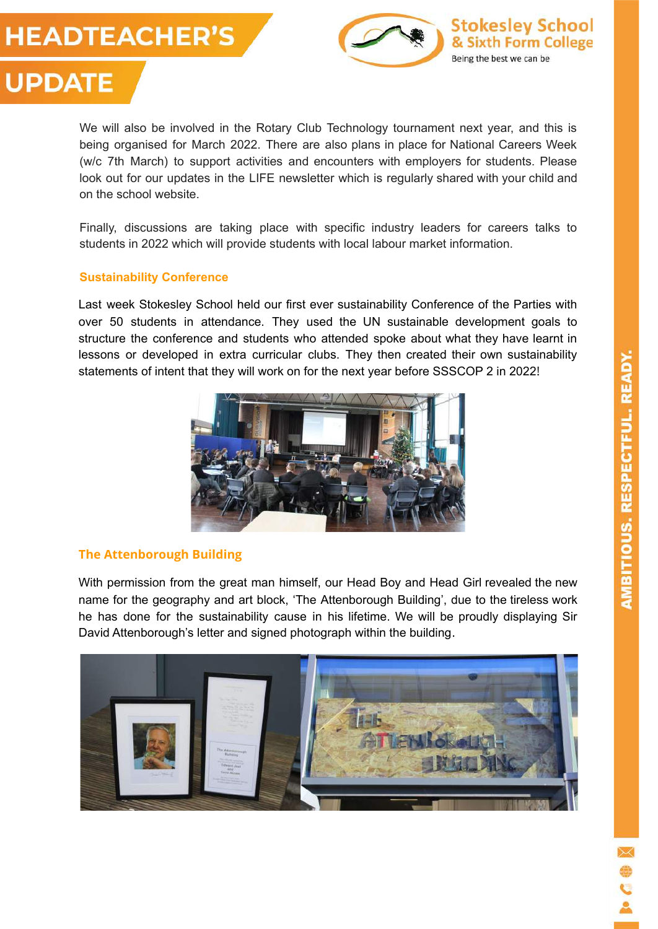



We will also be involved in the Rotary Club Technology tournament next year, and this is being organised for March 2022. There are also plans in place for National Careers Week (w/c 7th March) to support activities and encounters with employers for students. Please look out for our updates in the LIFE newsletter which is regularly shared with your child and on the school website.

Finally, discussions are taking place with specific industry leaders for careers talks to students in 2022 which will provide students with local labour market information.

## **Sustainability Conference**

Last week Stokesley School held our first ever sustainability Conference of the Parties with over 50 students in attendance. They used the UN sustainable development goals to structure the conference and students who attended spoke about what they have learnt in lessons or developed in extra curricular clubs. They then created their own sustainability statements of intent that they will work on for the next year before SSSCOP 2 in 2022!



# **The Attenborough Building**

With permission from the great man himself, our Head Boy and Head Girl revealed the new name for the geography and art block, 'The Attenborough Building', due to the tireless work he has done for the sustainability cause in his lifetime. We will be proudly displaying Sir David Attenborough's letter and signed photograph within the building.

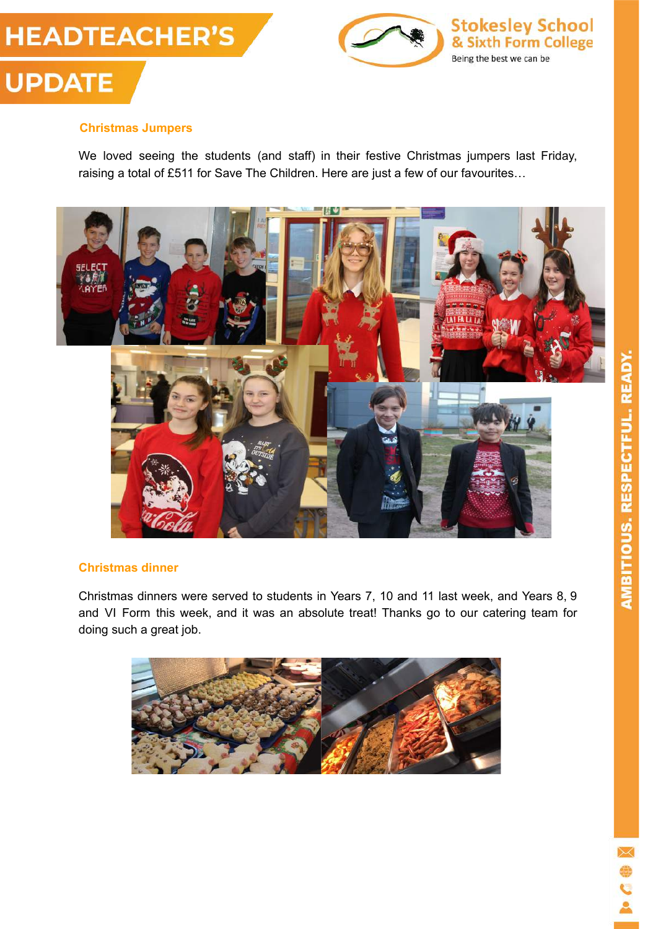



# **Christmas Jumpers**

We loved seeing the students (and staff) in their festive Christmas jumpers last Friday, raising a total of £511 for Save The Children. Here are just a few of our favourites…



#### **Christmas dinner**

Christmas dinners were served to students in Years 7, 10 and 11 last week, and Years 8, 9 and VI Form this week, and it was an absolute treat! Thanks go to our catering team for doing such a great job.